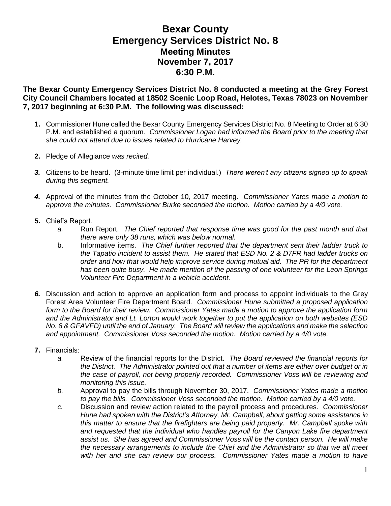## **Bexar County Emergency Services District No. 8 Meeting Minutes November 7, 2017 6:30 P.M.**

**The Bexar County Emergency Services District No. 8 conducted a meeting at the Grey Forest City Council Chambers located at 18502 Scenic Loop Road, Helotes, Texas 78023 on November 7, 2017 beginning at 6:30 P.M. The following was discussed:**

- **1.** Commissioner Hune called the Bexar County Emergency Services District No. 8 Meeting to Order at 6:30 P.M. and established a quorum. *Commissioner Logan had informed the Board prior to the meeting that she could not attend due to issues related to Hurricane Harvey.*
- **2.** Pledge of Allegiance *was recited.*
- *3.* Citizens to be heard. (3-minute time limit per individual.) *There weren't any citizens signed up to speak during this segment.*
- *4.* Approval of the minutes from the October 10, 2017 meeting. *Commissioner Yates made a motion to approve the minutes. Commissioner Burke seconded the motion. Motion carried by a 4/0 vote.*
- **5.** Chief's Report.
	- *a.* Run Report. *The Chief reported that response time was good for the past month and that there were only 38 runs, which was below normal.*
	- b. Informative items. *The Chief further reported that the department sent their ladder truck to the Tapatio incident to assist them. He stated that ESD No. 2 & D7FR had ladder trucks on order and how that would help improve service during mutual aid. The PR for the department has been quite busy. He made mention of the passing of one volunteer for the Leon Springs Volunteer Fire Department in a vehicle accident.*
- *6.* Discussion and action to approve an application form and process to appoint individuals to the Grey Forest Area Volunteer Fire Department Board. *Commissioner Hune submitted a proposed application form to the Board for their review. Commissioner Yates made a motion to approve the application form and the Administrator and Lt. Lorton would work together to put the application on both websites (ESD No. 8 & GFAVFD) until the end of January. The Board will review the applications and make the selection and appointment. Commissioner Voss seconded the motion. Motion carried by a 4/0 vote.*
- **7.** Financials:
	- *a.* Review of the financial reports for the District. *The Board reviewed the financial reports for the District. The Administrator pointed out that a number of items are either over budget or in the case of payroll, not being properly recorded. Commissioner Voss will be reviewing and monitoring this issue.*
	- *b.* Approval to pay the bills through November 30, 2017. *Commissioner Yates made a motion to pay the bills. Commissioner Voss seconded the motion. Motion carried by a 4/0 vote.*
	- *c.* Discussion and review action related to the payroll process and procedures. *Commissioner Hune had spoken with the District's Attorney, Mr. Campbell, about getting some assistance in this matter to ensure that the firefighters are being paid properly. Mr. Campbell spoke with and requested that the individual who handles payroll for the Canyon Lake fire department assist us. She has agreed and Commissioner Voss will be the contact person. He will make the necessary arrangements to include the Chief and the Administrator so that we all meet with her and she can review our process. Commissioner Yates made a motion to have*